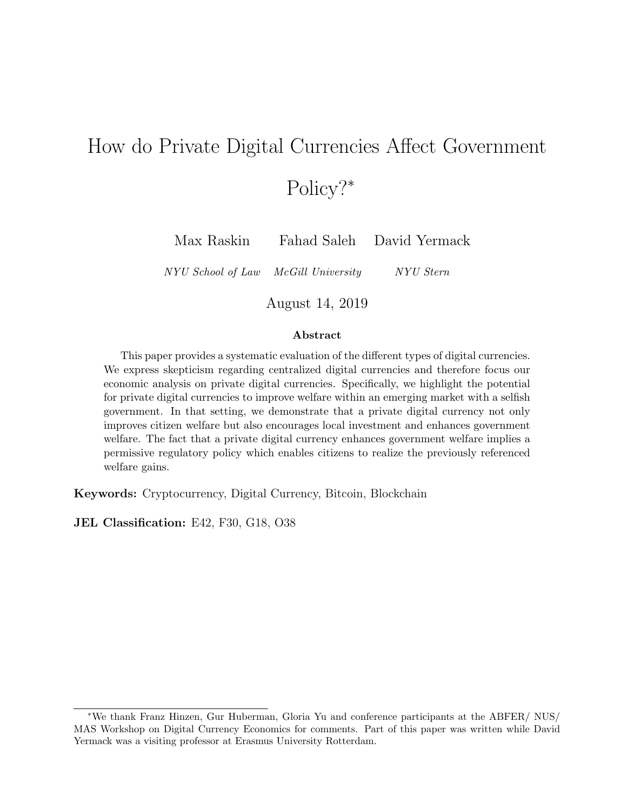# How do Private Digital Currencies Affect Government Policy?<sup>∗</sup>

Max Raskin Fahad Saleh David Yermack

NYU School of Law McGill University NYU Stern

August 14, 2019

#### Abstract

This paper provides a systematic evaluation of the different types of digital currencies. We express skepticism regarding centralized digital currencies and therefore focus our economic analysis on private digital currencies. Specifically, we highlight the potential for private digital currencies to improve welfare within an emerging market with a selfish government. In that setting, we demonstrate that a private digital currency not only improves citizen welfare but also encourages local investment and enhances government welfare. The fact that a private digital currency enhances government welfare implies a permissive regulatory policy which enables citizens to realize the previously referenced welfare gains.

Keywords: Cryptocurrency, Digital Currency, Bitcoin, Blockchain

JEL Classification: E42, F30, G18, O38

<sup>∗</sup>We thank Franz Hinzen, Gur Huberman, Gloria Yu and conference participants at the ABFER/ NUS/ MAS Workshop on Digital Currency Economics for comments. Part of this paper was written while David Yermack was a visiting professor at Erasmus University Rotterdam.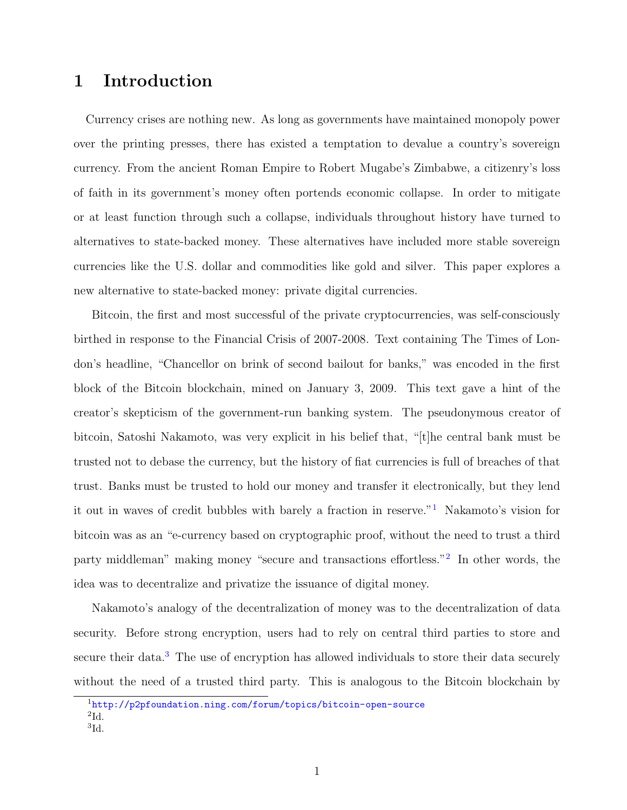## 1 Introduction

Currency crises are nothing new. As long as governments have maintained monopoly power over the printing presses, there has existed a temptation to devalue a country's sovereign currency. From the ancient Roman Empire to Robert Mugabe's Zimbabwe, a citizenry's loss of faith in its government's money often portends economic collapse. In order to mitigate or at least function through such a collapse, individuals throughout history have turned to alternatives to state-backed money. These alternatives have included more stable sovereign currencies like the U.S. dollar and commodities like gold and silver. This paper explores a new alternative to state-backed money: private digital currencies.

Bitcoin, the first and most successful of the private cryptocurrencies, was self-consciously birthed in response to the Financial Crisis of 2007-2008. Text containing The Times of London's headline, "Chancellor on brink of second bailout for banks," was encoded in the first block of the Bitcoin blockchain, mined on January 3, 2009. This text gave a hint of the creator's skepticism of the government-run banking system. The pseudonymous creator of bitcoin, Satoshi Nakamoto, was very explicit in his belief that, "[t]he central bank must be trusted not to debase the currency, but the history of fiat currencies is full of breaches of that trust. Banks must be trusted to hold our money and transfer it electronically, but they lend it out in waves of credit bubbles with barely a fraction in reserve."[1](#page-1-0) Nakamoto's vision for bitcoin was as an "e-currency based on cryptographic proof, without the need to trust a third party middleman" making money "secure and transactions effortless."<sup>[2](#page-1-1)</sup> In other words, the idea was to decentralize and privatize the issuance of digital money.

Nakamoto's analogy of the decentralization of money was to the decentralization of data security. Before strong encryption, users had to rely on central third parties to store and secure their data.<sup>[3](#page-1-2)</sup> The use of encryption has allowed individuals to store their data securely without the need of a trusted third party. This is analogous to the Bitcoin blockchain by

<span id="page-1-2"></span><span id="page-1-1"></span><span id="page-1-0"></span><sup>1</sup><http://p2pfoundation.ning.com/forum/topics/bitcoin-open-source>  $^{2}$ Id. 3 Id.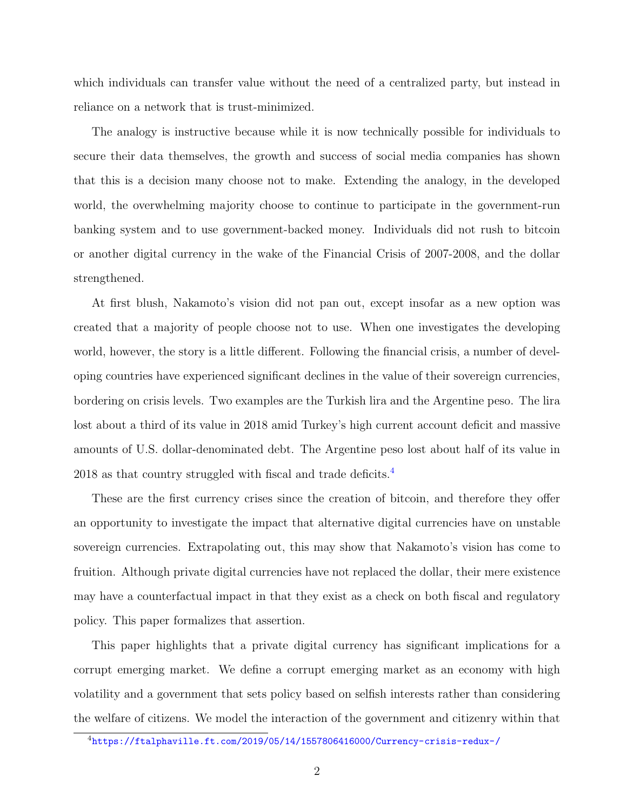which individuals can transfer value without the need of a centralized party, but instead in reliance on a network that is trust-minimized.

The analogy is instructive because while it is now technically possible for individuals to secure their data themselves, the growth and success of social media companies has shown that this is a decision many choose not to make. Extending the analogy, in the developed world, the overwhelming majority choose to continue to participate in the government-run banking system and to use government-backed money. Individuals did not rush to bitcoin or another digital currency in the wake of the Financial Crisis of 2007-2008, and the dollar strengthened.

At first blush, Nakamoto's vision did not pan out, except insofar as a new option was created that a majority of people choose not to use. When one investigates the developing world, however, the story is a little different. Following the financial crisis, a number of developing countries have experienced significant declines in the value of their sovereign currencies, bordering on crisis levels. Two examples are the Turkish lira and the Argentine peso. The lira lost about a third of its value in 2018 amid Turkey's high current account deficit and massive amounts of U.S. dollar-denominated debt. The Argentine peso lost about half of its value in 2018 as that country struggled with fiscal and trade deficits.<sup>[4](#page-2-0)</sup>

These are the first currency crises since the creation of bitcoin, and therefore they offer an opportunity to investigate the impact that alternative digital currencies have on unstable sovereign currencies. Extrapolating out, this may show that Nakamoto's vision has come to fruition. Although private digital currencies have not replaced the dollar, their mere existence may have a counterfactual impact in that they exist as a check on both fiscal and regulatory policy. This paper formalizes that assertion.

This paper highlights that a private digital currency has significant implications for a corrupt emerging market. We define a corrupt emerging market as an economy with high volatility and a government that sets policy based on selfish interests rather than considering the welfare of citizens. We model the interaction of the government and citizenry within that

<span id="page-2-0"></span><sup>4</sup><https://ftalphaville.ft.com/2019/05/14/1557806416000/Currency-crisis-redux-/>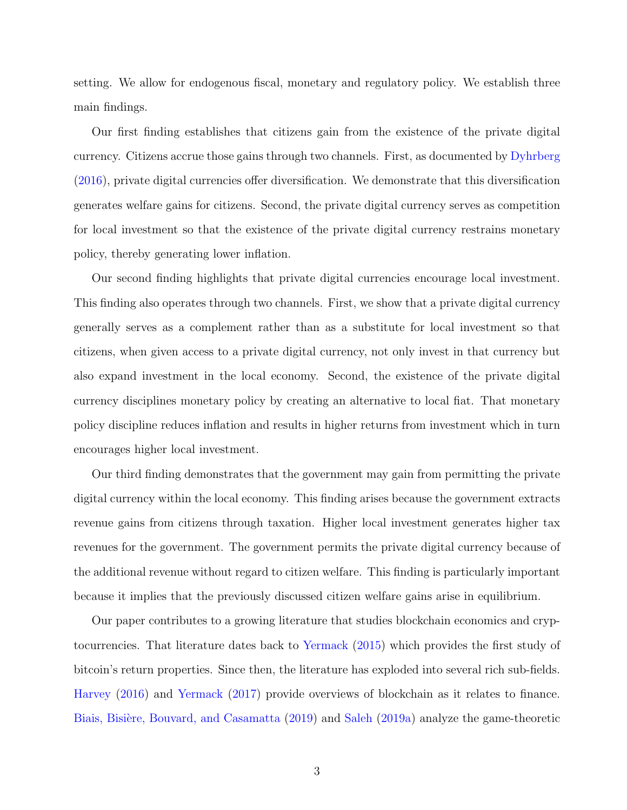setting. We allow for endogenous fiscal, monetary and regulatory policy. We establish three main findings.

Our first finding establishes that citizens gain from the existence of the private digital currency. Citizens accrue those gains through two channels. First, as documented by [Dyhrberg](#page-19-0) [\(2016\)](#page-19-0), private digital currencies offer diversification. We demonstrate that this diversification generates welfare gains for citizens. Second, the private digital currency serves as competition for local investment so that the existence of the private digital currency restrains monetary policy, thereby generating lower inflation.

Our second finding highlights that private digital currencies encourage local investment. This finding also operates through two channels. First, we show that a private digital currency generally serves as a complement rather than as a substitute for local investment so that citizens, when given access to a private digital currency, not only invest in that currency but also expand investment in the local economy. Second, the existence of the private digital currency disciplines monetary policy by creating an alternative to local fiat. That monetary policy discipline reduces inflation and results in higher returns from investment which in turn encourages higher local investment.

Our third finding demonstrates that the government may gain from permitting the private digital currency within the local economy. This finding arises because the government extracts revenue gains from citizens through taxation. Higher local investment generates higher tax revenues for the government. The government permits the private digital currency because of the additional revenue without regard to citizen welfare. This finding is particularly important because it implies that the previously discussed citizen welfare gains arise in equilibrium.

Our paper contributes to a growing literature that studies blockchain economics and cryptocurrencies. That literature dates back to [Yermack](#page-21-0) [\(2015\)](#page-21-0) which provides the first study of bitcoin's return properties. Since then, the literature has exploded into several rich sub-fields. [Harvey](#page-19-1) [\(2016\)](#page-19-1) and [Yermack](#page-21-1) [\(2017\)](#page-21-1) provide overviews of blockchain as it relates to finance. Biais, Bisière, Bouvard, and Casamatta [\(2019\)](#page-19-2) and [Saleh](#page-20-0) [\(2019a\)](#page-20-0) analyze the game-theoretic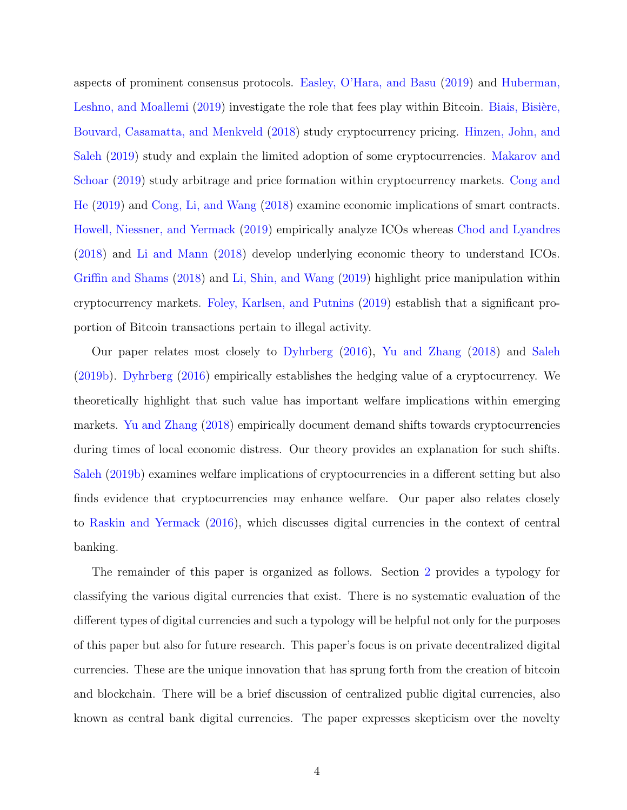aspects of prominent consensus protocols. [Easley, O'Hara, and Basu](#page-19-3) [\(2019\)](#page-19-3) and [Huberman,](#page-20-1) [Leshno, and Moallemi](#page-20-1) [\(2019\)](#page-20-1) investigate the role that fees play within Bitcoin. Biais, Bisière, [Bouvard, Casamatta, and Menkveld](#page-19-4) [\(2018\)](#page-19-4) study cryptocurrency pricing. [Hinzen, John, and](#page-20-2) [Saleh](#page-20-2) [\(2019\)](#page-20-2) study and explain the limited adoption of some cryptocurrencies. [Makarov and](#page-20-3) [Schoar](#page-20-3) [\(2019\)](#page-20-3) study arbitrage and price formation within cryptocurrency markets. [Cong and](#page-19-5) [He](#page-19-5) [\(2019\)](#page-19-5) and [Cong, Li, and Wang](#page-19-6) [\(2018\)](#page-19-6) examine economic implications of smart contracts. [Howell, Niessner, and Yermack](#page-20-4) [\(2019\)](#page-20-4) empirically analyze ICOs whereas [Chod and Lyandres](#page-19-7) [\(2018\)](#page-19-7) and [Li and Mann](#page-20-5) [\(2018\)](#page-20-5) develop underlying economic theory to understand ICOs. [Griffin and Shams](#page-19-8) [\(2018\)](#page-19-8) and [Li, Shin, and Wang](#page-20-6) [\(2019\)](#page-20-6) highlight price manipulation within cryptocurrency markets. [Foley, Karlsen, and Putnins](#page-19-9) [\(2019\)](#page-19-9) establish that a significant proportion of Bitcoin transactions pertain to illegal activity.

Our paper relates most closely to [Dyhrberg](#page-19-0) [\(2016\)](#page-19-0), [Yu and Zhang](#page-21-2) [\(2018\)](#page-21-2) and [Saleh](#page-20-7) [\(2019b\)](#page-20-7). [Dyhrberg](#page-19-0) [\(2016\)](#page-19-0) empirically establishes the hedging value of a cryptocurrency. We theoretically highlight that such value has important welfare implications within emerging markets. [Yu and Zhang](#page-21-2) [\(2018\)](#page-21-2) empirically document demand shifts towards cryptocurrencies during times of local economic distress. Our theory provides an explanation for such shifts. [Saleh](#page-20-7) [\(2019b\)](#page-20-7) examines welfare implications of cryptocurrencies in a different setting but also finds evidence that cryptocurrencies may enhance welfare. Our paper also relates closely to [Raskin and Yermack](#page-20-8) [\(2016\)](#page-20-8), which discusses digital currencies in the context of central banking.

The remainder of this paper is organized as follows. Section [2](#page-5-0) provides a typology for classifying the various digital currencies that exist. There is no systematic evaluation of the different types of digital currencies and such a typology will be helpful not only for the purposes of this paper but also for future research. This paper's focus is on private decentralized digital currencies. These are the unique innovation that has sprung forth from the creation of bitcoin and blockchain. There will be a brief discussion of centralized public digital currencies, also known as central bank digital currencies. The paper expresses skepticism over the novelty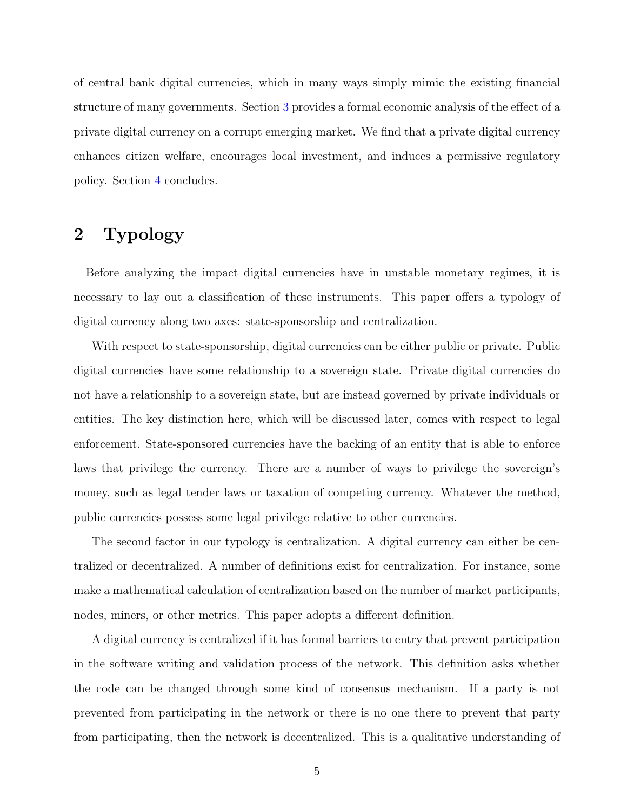of central bank digital currencies, which in many ways simply mimic the existing financial structure of many governments. Section [3](#page-11-0) provides a formal economic analysis of the effect of a private digital currency on a corrupt emerging market. We find that a private digital currency enhances citizen welfare, encourages local investment, and induces a permissive regulatory policy. Section [4](#page-18-0) concludes.

# <span id="page-5-0"></span>2 Typology

Before analyzing the impact digital currencies have in unstable monetary regimes, it is necessary to lay out a classification of these instruments. This paper offers a typology of digital currency along two axes: state-sponsorship and centralization.

With respect to state-sponsorship, digital currencies can be either public or private. Public digital currencies have some relationship to a sovereign state. Private digital currencies do not have a relationship to a sovereign state, but are instead governed by private individuals or entities. The key distinction here, which will be discussed later, comes with respect to legal enforcement. State-sponsored currencies have the backing of an entity that is able to enforce laws that privilege the currency. There are a number of ways to privilege the sovereign's money, such as legal tender laws or taxation of competing currency. Whatever the method, public currencies possess some legal privilege relative to other currencies.

The second factor in our typology is centralization. A digital currency can either be centralized or decentralized. A number of definitions exist for centralization. For instance, some make a mathematical calculation of centralization based on the number of market participants, nodes, miners, or other metrics. This paper adopts a different definition.

A digital currency is centralized if it has formal barriers to entry that prevent participation in the software writing and validation process of the network. This definition asks whether the code can be changed through some kind of consensus mechanism. If a party is not prevented from participating in the network or there is no one there to prevent that party from participating, then the network is decentralized. This is a qualitative understanding of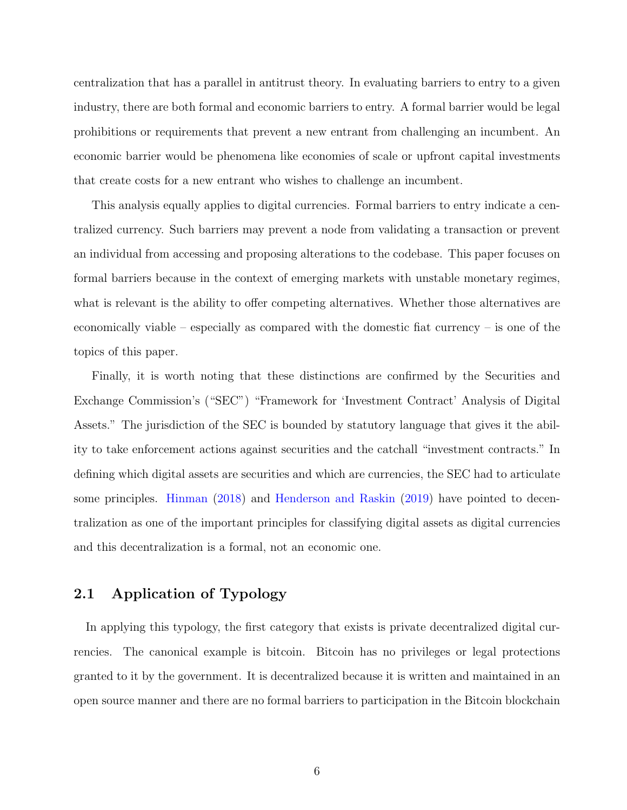centralization that has a parallel in antitrust theory. In evaluating barriers to entry to a given industry, there are both formal and economic barriers to entry. A formal barrier would be legal prohibitions or requirements that prevent a new entrant from challenging an incumbent. An economic barrier would be phenomena like economies of scale or upfront capital investments that create costs for a new entrant who wishes to challenge an incumbent.

This analysis equally applies to digital currencies. Formal barriers to entry indicate a centralized currency. Such barriers may prevent a node from validating a transaction or prevent an individual from accessing and proposing alterations to the codebase. This paper focuses on formal barriers because in the context of emerging markets with unstable monetary regimes, what is relevant is the ability to offer competing alternatives. Whether those alternatives are economically viable – especially as compared with the domestic fiat currency – is one of the topics of this paper.

Finally, it is worth noting that these distinctions are confirmed by the Securities and Exchange Commission's ("SEC") "Framework for 'Investment Contract' Analysis of Digital Assets." The jurisdiction of the SEC is bounded by statutory language that gives it the ability to take enforcement actions against securities and the catchall "investment contracts." In defining which digital assets are securities and which are currencies, the SEC had to articulate some principles. [Hinman](#page-20-9) [\(2018\)](#page-20-9) and [Henderson and Raskin](#page-20-10) [\(2019\)](#page-20-10) have pointed to decentralization as one of the important principles for classifying digital assets as digital currencies and this decentralization is a formal, not an economic one.

## 2.1 Application of Typology

In applying this typology, the first category that exists is private decentralized digital currencies. The canonical example is bitcoin. Bitcoin has no privileges or legal protections granted to it by the government. It is decentralized because it is written and maintained in an open source manner and there are no formal barriers to participation in the Bitcoin blockchain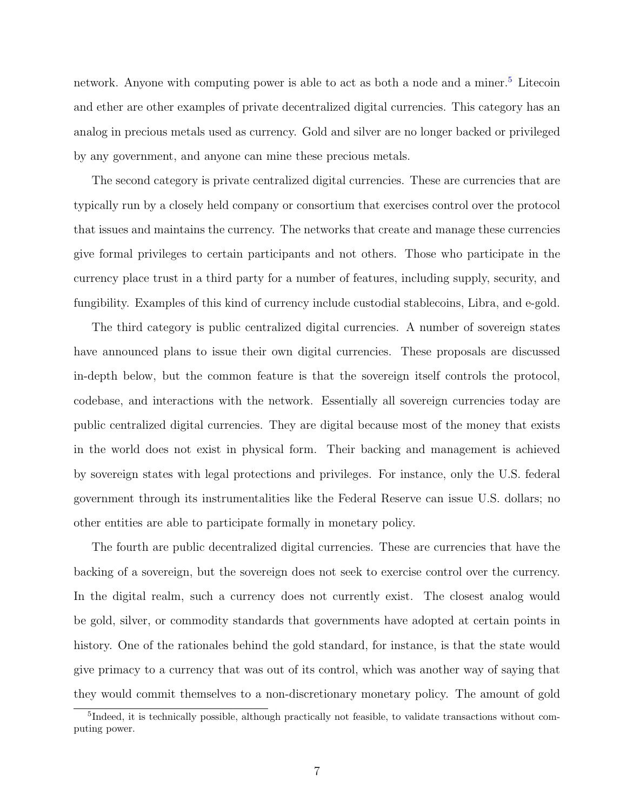network. Anyone with computing power is able to act as both a node and a miner.<sup>[5](#page-7-0)</sup> Litecoin and ether are other examples of private decentralized digital currencies. This category has an analog in precious metals used as currency. Gold and silver are no longer backed or privileged by any government, and anyone can mine these precious metals.

The second category is private centralized digital currencies. These are currencies that are typically run by a closely held company or consortium that exercises control over the protocol that issues and maintains the currency. The networks that create and manage these currencies give formal privileges to certain participants and not others. Those who participate in the currency place trust in a third party for a number of features, including supply, security, and fungibility. Examples of this kind of currency include custodial stablecoins, Libra, and e-gold.

The third category is public centralized digital currencies. A number of sovereign states have announced plans to issue their own digital currencies. These proposals are discussed in-depth below, but the common feature is that the sovereign itself controls the protocol, codebase, and interactions with the network. Essentially all sovereign currencies today are public centralized digital currencies. They are digital because most of the money that exists in the world does not exist in physical form. Their backing and management is achieved by sovereign states with legal protections and privileges. For instance, only the U.S. federal government through its instrumentalities like the Federal Reserve can issue U.S. dollars; no other entities are able to participate formally in monetary policy.

The fourth are public decentralized digital currencies. These are currencies that have the backing of a sovereign, but the sovereign does not seek to exercise control over the currency. In the digital realm, such a currency does not currently exist. The closest analog would be gold, silver, or commodity standards that governments have adopted at certain points in history. One of the rationales behind the gold standard, for instance, is that the state would give primacy to a currency that was out of its control, which was another way of saying that they would commit themselves to a non-discretionary monetary policy. The amount of gold

<span id="page-7-0"></span><sup>5</sup> Indeed, it is technically possible, although practically not feasible, to validate transactions without computing power.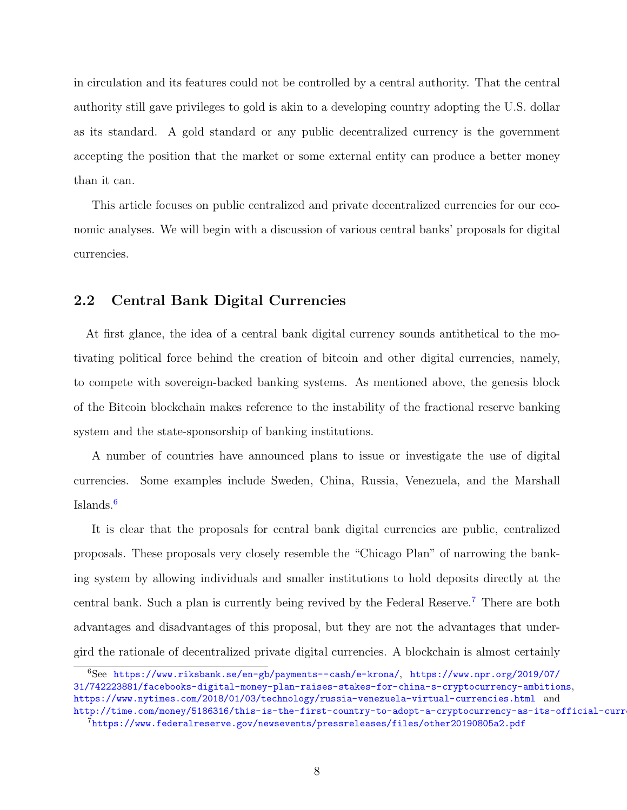in circulation and its features could not be controlled by a central authority. That the central authority still gave privileges to gold is akin to a developing country adopting the U.S. dollar as its standard. A gold standard or any public decentralized currency is the government accepting the position that the market or some external entity can produce a better money than it can.

This article focuses on public centralized and private decentralized currencies for our economic analyses. We will begin with a discussion of various central banks' proposals for digital currencies.

## 2.2 Central Bank Digital Currencies

At first glance, the idea of a central bank digital currency sounds antithetical to the motivating political force behind the creation of bitcoin and other digital currencies, namely, to compete with sovereign-backed banking systems. As mentioned above, the genesis block of the Bitcoin blockchain makes reference to the instability of the fractional reserve banking system and the state-sponsorship of banking institutions.

A number of countries have announced plans to issue or investigate the use of digital currencies. Some examples include Sweden, China, Russia, Venezuela, and the Marshall Islands.[6](#page-8-0)

It is clear that the proposals for central bank digital currencies are public, centralized proposals. These proposals very closely resemble the "Chicago Plan" of narrowing the banking system by allowing individuals and smaller institutions to hold deposits directly at the central bank. Such a plan is currently being revived by the Federal Reserve.[7](#page-8-1) There are both advantages and disadvantages of this proposal, but they are not the advantages that undergird the rationale of decentralized private digital currencies. A blockchain is almost certainly

<span id="page-8-0"></span><sup>6</sup>See <https://www.riksbank.se/en-gb/payments--cash/e-krona/>, [https://www.npr.org/2019/07/](https://www.npr.org/2019/07/31/742223881/facebooks-digital-money-plan-raises-stakes-for-china-s-cryptocurrency-ambitions) [31/742223881/facebooks-digital-money-plan-raises-stakes-for-china-s-cryptocurrency-ambitions](https://www.npr.org/2019/07/31/742223881/facebooks-digital-money-plan-raises-stakes-for-china-s-cryptocurrency-ambitions), <https://www.nytimes.com/2018/01/03/technology/russia-venezuela-virtual-currencies.html> and <http://time.com/money/5186316/this-is-the-first-country-to-adopt-a-cryptocurrency-as-its-official-currency/>

<span id="page-8-1"></span><sup>7</sup><https://www.federalreserve.gov/newsevents/pressreleases/files/other20190805a2.pdf>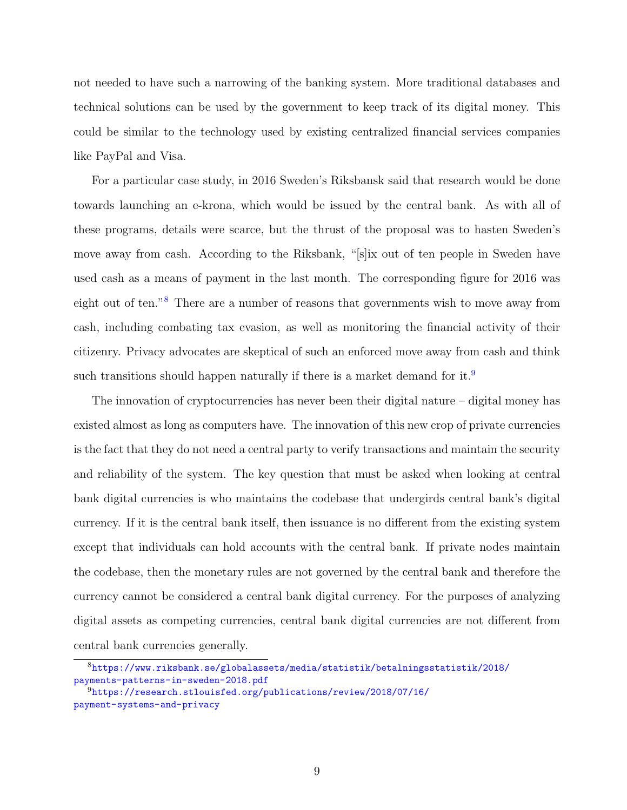not needed to have such a narrowing of the banking system. More traditional databases and technical solutions can be used by the government to keep track of its digital money. This could be similar to the technology used by existing centralized financial services companies like PayPal and Visa.

For a particular case study, in 2016 Sweden's Riksbansk said that research would be done towards launching an e-krona, which would be issued by the central bank. As with all of these programs, details were scarce, but the thrust of the proposal was to hasten Sweden's move away from cash. According to the Riksbank, "[s]ix out of ten people in Sweden have used cash as a means of payment in the last month. The corresponding figure for 2016 was eight out of ten."[8](#page-9-0) There are a number of reasons that governments wish to move away from cash, including combating tax evasion, as well as monitoring the financial activity of their citizenry. Privacy advocates are skeptical of such an enforced move away from cash and think such transitions should happen naturally if there is a market demand for it.<sup>[9](#page-9-1)</sup>

The innovation of cryptocurrencies has never been their digital nature – digital money has existed almost as long as computers have. The innovation of this new crop of private currencies is the fact that they do not need a central party to verify transactions and maintain the security and reliability of the system. The key question that must be asked when looking at central bank digital currencies is who maintains the codebase that undergirds central bank's digital currency. If it is the central bank itself, then issuance is no different from the existing system except that individuals can hold accounts with the central bank. If private nodes maintain the codebase, then the monetary rules are not governed by the central bank and therefore the currency cannot be considered a central bank digital currency. For the purposes of analyzing digital assets as competing currencies, central bank digital currencies are not different from central bank currencies generally.

<span id="page-9-0"></span><sup>8</sup>[https://www.riksbank.se/globalassets/media/statistik/betalningsstatistik/2018/](https://www.riksbank.se/globalassets/media/statistik/betalningsstatistik/2018/payments-patterns-in-sweden-2018.pdf) [payments-patterns-in-sweden-2018.pdf](https://www.riksbank.se/globalassets/media/statistik/betalningsstatistik/2018/payments-patterns-in-sweden-2018.pdf)

<span id="page-9-1"></span><sup>9</sup>[https://research.stlouisfed.org/publications/review/2018/07/16/](https://research.stlouisfed.org/publications/review/2018/07/16/payment-systems-and-privacy) [payment-systems-and-privacy](https://research.stlouisfed.org/publications/review/2018/07/16/payment-systems-and-privacy)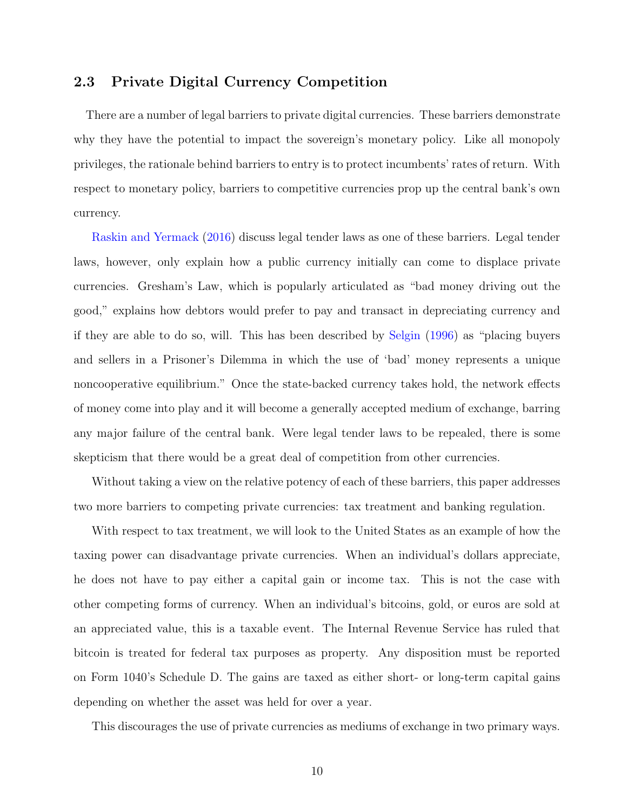## 2.3 Private Digital Currency Competition

There are a number of legal barriers to private digital currencies. These barriers demonstrate why they have the potential to impact the sovereign's monetary policy. Like all monopoly privileges, the rationale behind barriers to entry is to protect incumbents' rates of return. With respect to monetary policy, barriers to competitive currencies prop up the central bank's own currency.

[Raskin and Yermack](#page-20-8) [\(2016\)](#page-20-8) discuss legal tender laws as one of these barriers. Legal tender laws, however, only explain how a public currency initially can come to displace private currencies. Gresham's Law, which is popularly articulated as "bad money driving out the good," explains how debtors would prefer to pay and transact in depreciating currency and if they are able to do so, will. This has been described by [Selgin](#page-20-11) [\(1996\)](#page-20-11) as "placing buyers and sellers in a Prisoner's Dilemma in which the use of 'bad' money represents a unique noncooperative equilibrium." Once the state-backed currency takes hold, the network effects of money come into play and it will become a generally accepted medium of exchange, barring any major failure of the central bank. Were legal tender laws to be repealed, there is some skepticism that there would be a great deal of competition from other currencies.

Without taking a view on the relative potency of each of these barriers, this paper addresses two more barriers to competing private currencies: tax treatment and banking regulation.

With respect to tax treatment, we will look to the United States as an example of how the taxing power can disadvantage private currencies. When an individual's dollars appreciate, he does not have to pay either a capital gain or income tax. This is not the case with other competing forms of currency. When an individual's bitcoins, gold, or euros are sold at an appreciated value, this is a taxable event. The Internal Revenue Service has ruled that bitcoin is treated for federal tax purposes as property. Any disposition must be reported on Form 1040's Schedule D. The gains are taxed as either short- or long-term capital gains depending on whether the asset was held for over a year.

This discourages the use of private currencies as mediums of exchange in two primary ways.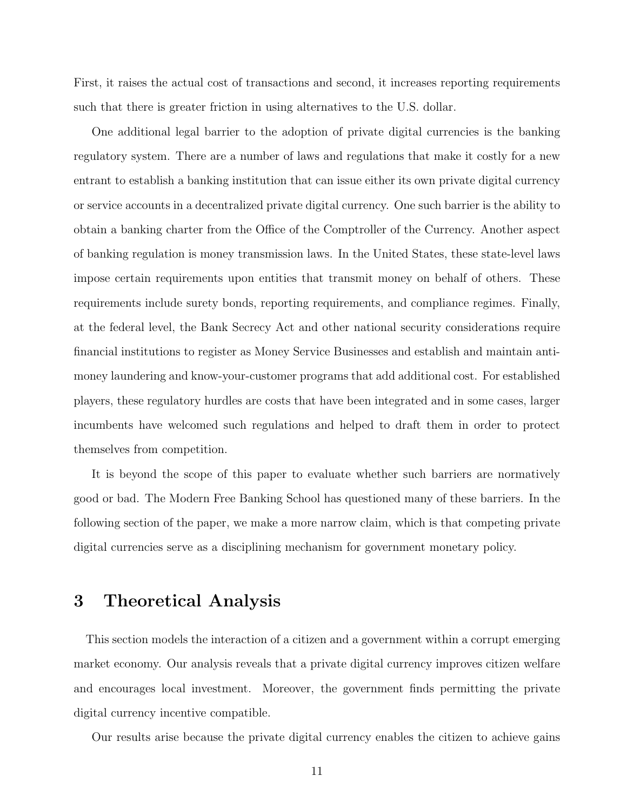First, it raises the actual cost of transactions and second, it increases reporting requirements such that there is greater friction in using alternatives to the U.S. dollar.

One additional legal barrier to the adoption of private digital currencies is the banking regulatory system. There are a number of laws and regulations that make it costly for a new entrant to establish a banking institution that can issue either its own private digital currency or service accounts in a decentralized private digital currency. One such barrier is the ability to obtain a banking charter from the Office of the Comptroller of the Currency. Another aspect of banking regulation is money transmission laws. In the United States, these state-level laws impose certain requirements upon entities that transmit money on behalf of others. These requirements include surety bonds, reporting requirements, and compliance regimes. Finally, at the federal level, the Bank Secrecy Act and other national security considerations require financial institutions to register as Money Service Businesses and establish and maintain antimoney laundering and know-your-customer programs that add additional cost. For established players, these regulatory hurdles are costs that have been integrated and in some cases, larger incumbents have welcomed such regulations and helped to draft them in order to protect themselves from competition.

It is beyond the scope of this paper to evaluate whether such barriers are normatively good or bad. The Modern Free Banking School has questioned many of these barriers. In the following section of the paper, we make a more narrow claim, which is that competing private digital currencies serve as a disciplining mechanism for government monetary policy.

## <span id="page-11-0"></span>3 Theoretical Analysis

This section models the interaction of a citizen and a government within a corrupt emerging market economy. Our analysis reveals that a private digital currency improves citizen welfare and encourages local investment. Moreover, the government finds permitting the private digital currency incentive compatible.

Our results arise because the private digital currency enables the citizen to achieve gains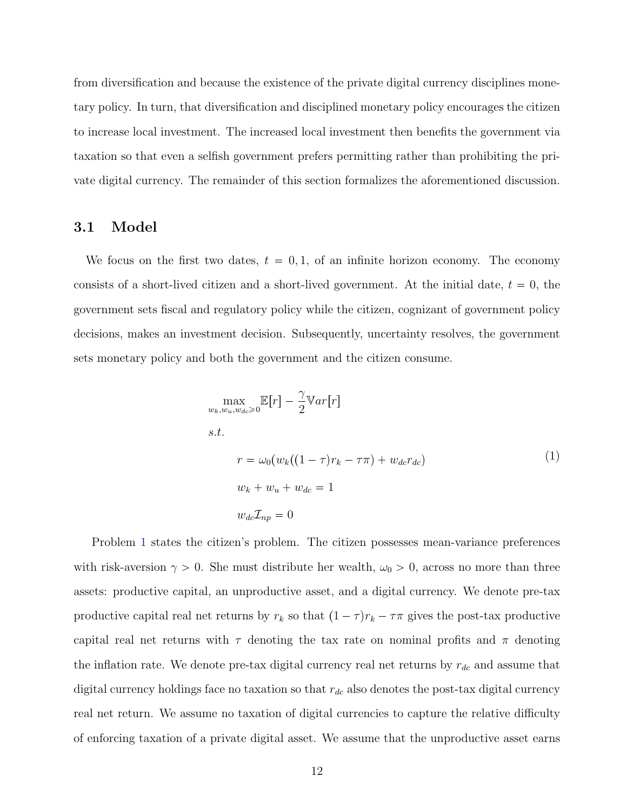from diversification and because the existence of the private digital currency disciplines monetary policy. In turn, that diversification and disciplined monetary policy encourages the citizen to increase local investment. The increased local investment then benefits the government via taxation so that even a selfish government prefers permitting rather than prohibiting the private digital currency. The remainder of this section formalizes the aforementioned discussion.

#### 3.1 Model

We focus on the first two dates,  $t = 0, 1$ , of an infinite horizon economy. The economy consists of a short-lived citizen and a short-lived government. At the initial date,  $t = 0$ , the government sets fiscal and regulatory policy while the citizen, cognizant of government policy decisions, makes an investment decision. Subsequently, uncertainty resolves, the government sets monetary policy and both the government and the citizen consume.

<span id="page-12-0"></span>
$$
\max_{w_k, w_u, w_{dc} \ge 0} \mathbb{E}[r] - \frac{\gamma}{2} \mathbb{V}ar[r]
$$
  
s.t.  

$$
r = \omega_0 (w_k((1 - \tau)r_k - \tau \pi) + w_{dc}r_{dc})
$$

$$
w_k + w_u + w_{dc} = 1
$$

$$
w_{dc} \mathcal{I}_{np} = 0
$$
 (1)

Problem [1](#page-12-0) states the citizen's problem. The citizen possesses mean-variance preferences with risk-aversion  $\gamma > 0$ . She must distribute her wealth,  $\omega_0 > 0$ , across no more than three assets: productive capital, an unproductive asset, and a digital currency. We denote pre-tax productive capital real net returns by  $r_k$  so that  $(1 - \tau)r_k - \tau\pi$  gives the post-tax productive capital real net returns with  $\tau$  denoting the tax rate on nominal profits and  $\pi$  denoting the inflation rate. We denote pre-tax digital currency real net returns by  $r_{dc}$  and assume that digital currency holdings face no taxation so that  $r_{dc}$  also denotes the post-tax digital currency real net return. We assume no taxation of digital currencies to capture the relative difficulty of enforcing taxation of a private digital asset. We assume that the unproductive asset earns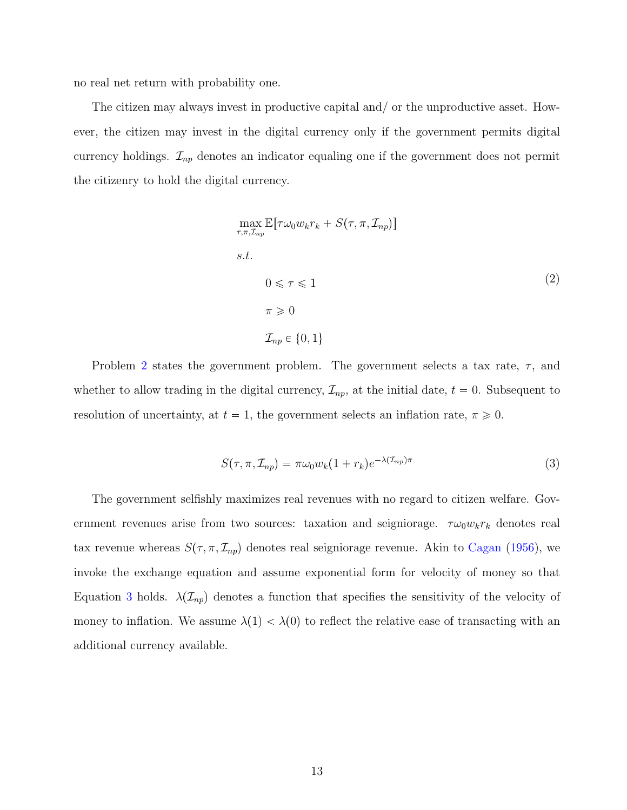no real net return with probability one.

The citizen may always invest in productive capital and/ or the unproductive asset. However, the citizen may invest in the digital currency only if the government permits digital currency holdings.  $\mathcal{I}_{np}$  denotes an indicator equaling one if the government does not permit the citizenry to hold the digital currency.

<span id="page-13-0"></span>
$$
\max_{\tau,\pi,\mathcal{I}_{np}} \mathbb{E}[\tau\omega_0 w_k r_k + S(\tau,\pi,\mathcal{I}_{np})]
$$
  
s.t.  

$$
0 \leq \tau \leq 1
$$
  

$$
\tau \geq 0
$$
  

$$
\mathcal{I}_{np} \in \{0,1\}
$$
 (2)

Problem [2](#page-13-0) states the government problem. The government selects a tax rate,  $\tau$ , and whether to allow trading in the digital currency,  $\mathcal{I}_{np}$ , at the initial date,  $t = 0$ . Subsequent to resolution of uncertainty, at  $t = 1$ , the government selects an inflation rate,  $\pi \geq 0$ .

<span id="page-13-1"></span>
$$
S(\tau, \pi, \mathcal{I}_{np}) = \pi \omega_0 w_k (1 + r_k) e^{-\lambda (\mathcal{I}_{np})\pi}
$$
\n
$$
(3)
$$

The government selfishly maximizes real revenues with no regard to citizen welfare. Government revenues arise from two sources: taxation and seigniorage.  $\tau \omega_0 w_k r_k$  denotes real tax revenue whereas  $S(\tau, \pi, \mathcal{I}_{np})$  denotes real seigniorage revenue. Akin to [Cagan](#page-19-10) [\(1956\)](#page-19-10), we invoke the exchange equation and assume exponential form for velocity of money so that Equation [3](#page-13-1) holds.  $\lambda(\mathcal{I}_{np})$  denotes a function that specifies the sensitivity of the velocity of money to inflation. We assume  $\lambda(1) < \lambda(0)$  to reflect the relative ease of transacting with an additional currency available.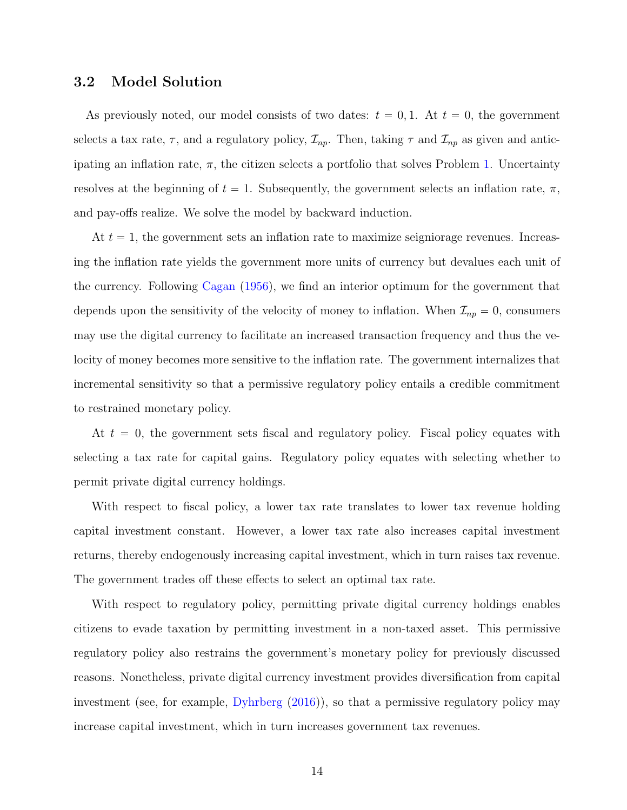### 3.2 Model Solution

As previously noted, our model consists of two dates:  $t = 0, 1$ . At  $t = 0$ , the government selects a tax rate,  $\tau$ , and a regulatory policy,  $\mathcal{I}_{np}$ . Then, taking  $\tau$  and  $\mathcal{I}_{np}$  as given and anticipating an inflation rate,  $\pi$ , the citizen selects a portfolio that solves Problem [1.](#page-12-0) Uncertainty resolves at the beginning of  $t = 1$ . Subsequently, the government selects an inflation rate,  $\pi$ , and pay-offs realize. We solve the model by backward induction.

At  $t = 1$ , the government sets an inflation rate to maximize seigniorage revenues. Increasing the inflation rate yields the government more units of currency but devalues each unit of the currency. Following [Cagan](#page-19-10) [\(1956\)](#page-19-10), we find an interior optimum for the government that depends upon the sensitivity of the velocity of money to inflation. When  $\mathcal{I}_{np} = 0$ , consumers may use the digital currency to facilitate an increased transaction frequency and thus the velocity of money becomes more sensitive to the inflation rate. The government internalizes that incremental sensitivity so that a permissive regulatory policy entails a credible commitment to restrained monetary policy.

At  $t = 0$ , the government sets fiscal and regulatory policy. Fiscal policy equates with selecting a tax rate for capital gains. Regulatory policy equates with selecting whether to permit private digital currency holdings.

With respect to fiscal policy, a lower tax rate translates to lower tax revenue holding capital investment constant. However, a lower tax rate also increases capital investment returns, thereby endogenously increasing capital investment, which in turn raises tax revenue. The government trades off these effects to select an optimal tax rate.

With respect to regulatory policy, permitting private digital currency holdings enables citizens to evade taxation by permitting investment in a non-taxed asset. This permissive regulatory policy also restrains the government's monetary policy for previously discussed reasons. Nonetheless, private digital currency investment provides diversification from capital investment (see, for example, [Dyhrberg](#page-19-0) [\(2016\)](#page-19-0)), so that a permissive regulatory policy may increase capital investment, which in turn increases government tax revenues.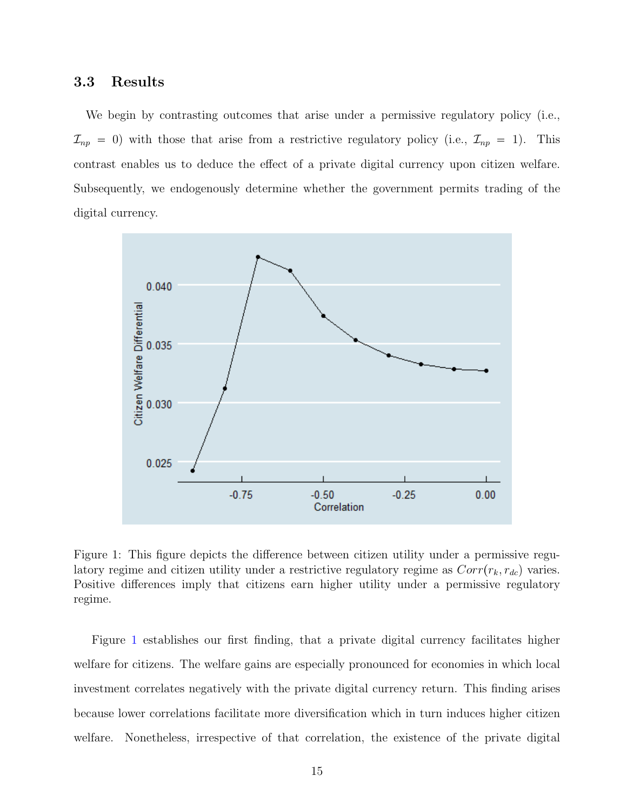#### 3.3 Results

We begin by contrasting outcomes that arise under a permissive regulatory policy (i.e.,  $\mathcal{I}_{np} = 0$ ) with those that arise from a restrictive regulatory policy (i.e.,  $\mathcal{I}_{np} = 1$ ). This contrast enables us to deduce the effect of a private digital currency upon citizen welfare. Subsequently, we endogenously determine whether the government permits trading of the digital currency.

<span id="page-15-0"></span>

Figure 1: This figure depicts the difference between citizen utility under a permissive regulatory regime and citizen utility under a restrictive regulatory regime as  $Corr(r_k, r_{dc})$  varies. Positive differences imply that citizens earn higher utility under a permissive regulatory regime.

Figure [1](#page-15-0) establishes our first finding, that a private digital currency facilitates higher welfare for citizens. The welfare gains are especially pronounced for economies in which local investment correlates negatively with the private digital currency return. This finding arises because lower correlations facilitate more diversification which in turn induces higher citizen welfare. Nonetheless, irrespective of that correlation, the existence of the private digital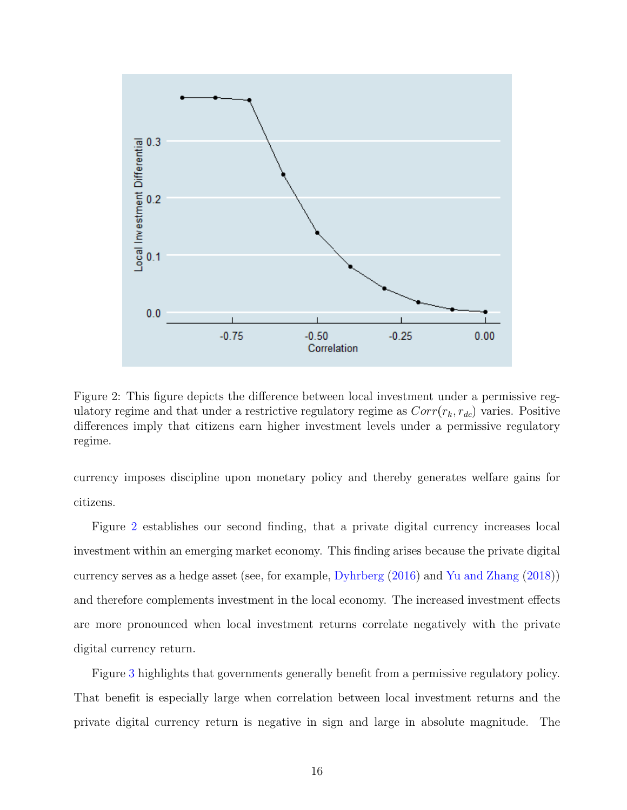<span id="page-16-0"></span>

Figure 2: This figure depicts the difference between local investment under a permissive regulatory regime and that under a restrictive regulatory regime as  $Corr(r_k, r_{dc})$  varies. Positive differences imply that citizens earn higher investment levels under a permissive regulatory regime.

currency imposes discipline upon monetary policy and thereby generates welfare gains for citizens.

Figure [2](#page-16-0) establishes our second finding, that a private digital currency increases local investment within an emerging market economy. This finding arises because the private digital currency serves as a hedge asset (see, for example, [Dyhrberg](#page-19-0) [\(2016\)](#page-19-0) and [Yu and Zhang](#page-21-2) [\(2018\)](#page-21-2)) and therefore complements investment in the local economy. The increased investment effects are more pronounced when local investment returns correlate negatively with the private digital currency return.

Figure [3](#page-17-0) highlights that governments generally benefit from a permissive regulatory policy. That benefit is especially large when correlation between local investment returns and the private digital currency return is negative in sign and large in absolute magnitude. The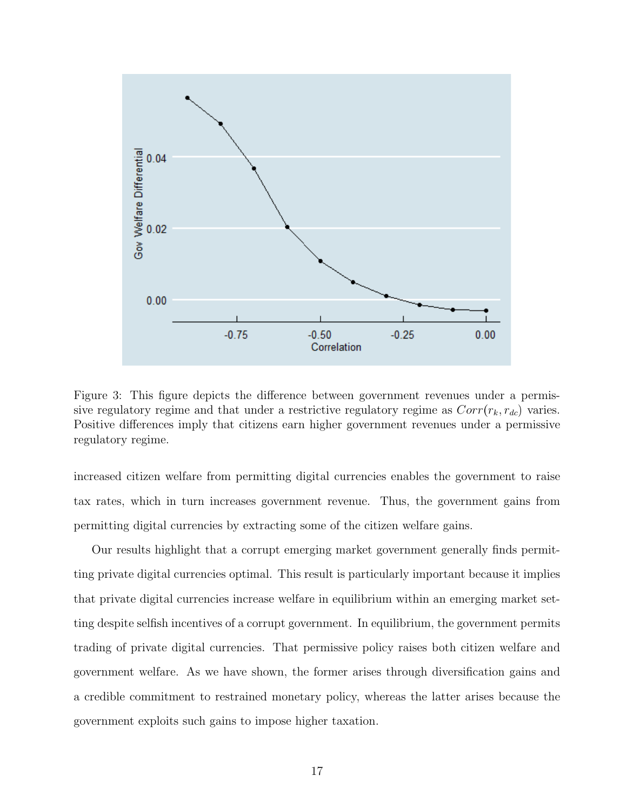<span id="page-17-0"></span>

Figure 3: This figure depicts the difference between government revenues under a permissive regulatory regime and that under a restrictive regulatory regime as  $Corr(r_k, r_{dc})$  varies. Positive differences imply that citizens earn higher government revenues under a permissive regulatory regime.

increased citizen welfare from permitting digital currencies enables the government to raise tax rates, which in turn increases government revenue. Thus, the government gains from permitting digital currencies by extracting some of the citizen welfare gains.

Our results highlight that a corrupt emerging market government generally finds permitting private digital currencies optimal. This result is particularly important because it implies that private digital currencies increase welfare in equilibrium within an emerging market setting despite selfish incentives of a corrupt government. In equilibrium, the government permits trading of private digital currencies. That permissive policy raises both citizen welfare and government welfare. As we have shown, the former arises through diversification gains and a credible commitment to restrained monetary policy, whereas the latter arises because the government exploits such gains to impose higher taxation.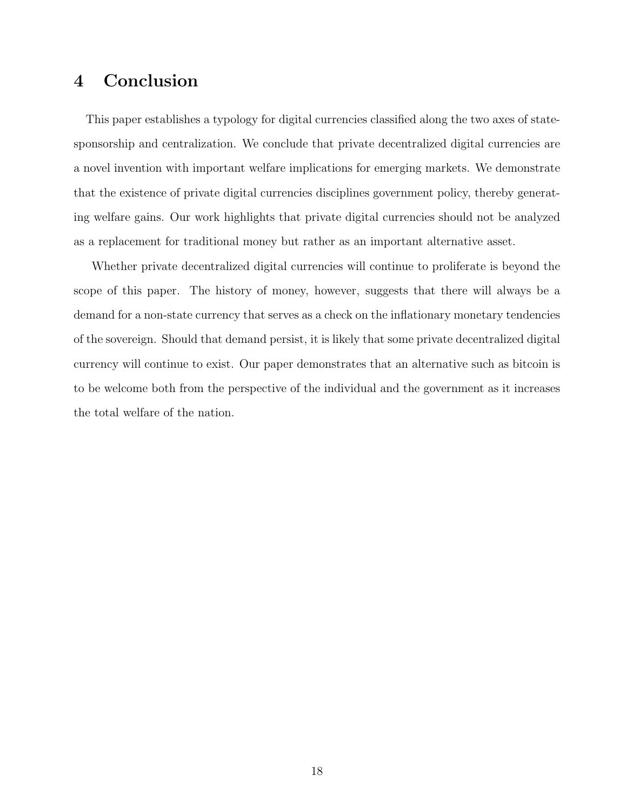# <span id="page-18-0"></span>4 Conclusion

This paper establishes a typology for digital currencies classified along the two axes of statesponsorship and centralization. We conclude that private decentralized digital currencies are a novel invention with important welfare implications for emerging markets. We demonstrate that the existence of private digital currencies disciplines government policy, thereby generating welfare gains. Our work highlights that private digital currencies should not be analyzed as a replacement for traditional money but rather as an important alternative asset.

Whether private decentralized digital currencies will continue to proliferate is beyond the scope of this paper. The history of money, however, suggests that there will always be a demand for a non-state currency that serves as a check on the inflationary monetary tendencies of the sovereign. Should that demand persist, it is likely that some private decentralized digital currency will continue to exist. Our paper demonstrates that an alternative such as bitcoin is to be welcome both from the perspective of the individual and the government as it increases the total welfare of the nation.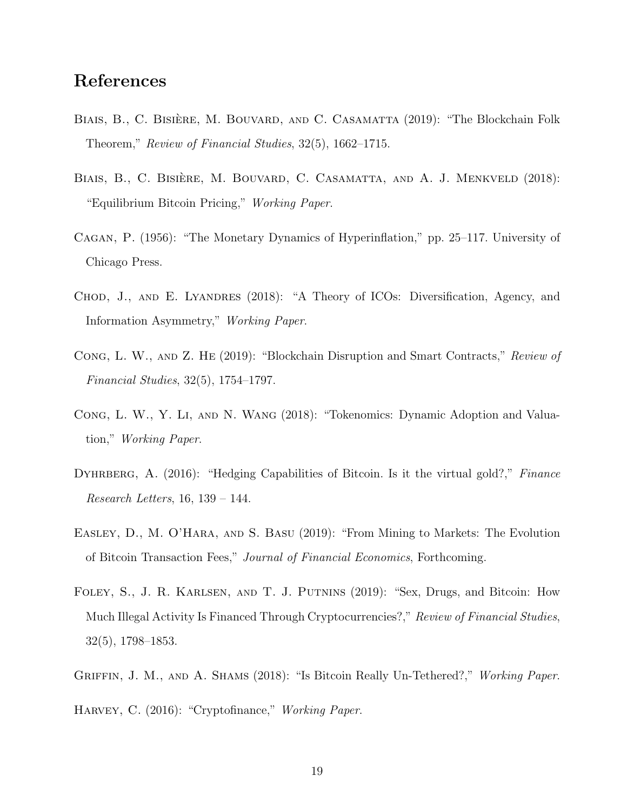## References

- <span id="page-19-2"></span>BIAIS, B., C. BISIÈRE, M. BOUVARD, AND C. CASAMATTA (2019): "The Blockchain Folk Theorem," Review of Financial Studies, 32(5), 1662–1715.
- <span id="page-19-4"></span>BIAIS, B., C. BISIÈRE, M. BOUVARD, C. CASAMATTA, AND A. J. MENKVELD (2018): "Equilibrium Bitcoin Pricing," Working Paper.
- <span id="page-19-10"></span>Cagan, P. (1956): "The Monetary Dynamics of Hyperinflation," pp. 25–117. University of Chicago Press.
- <span id="page-19-7"></span>CHOD, J., AND E. LYANDRES (2018): "A Theory of ICOs: Diversification, Agency, and Information Asymmetry," Working Paper.
- <span id="page-19-5"></span>Cong, L. W., and Z. He (2019): "Blockchain Disruption and Smart Contracts," Review of Financial Studies, 32(5), 1754–1797.
- <span id="page-19-6"></span>Cong, L. W., Y. Li, and N. Wang (2018): "Tokenomics: Dynamic Adoption and Valuation," Working Paper.
- <span id="page-19-0"></span>DYHRBERG, A. (2016): "Hedging Capabilities of Bitcoin. Is it the virtual gold?," Finance Research Letters, 16, 139 – 144.
- <span id="page-19-3"></span>Easley, D., M. O'Hara, and S. Basu (2019): "From Mining to Markets: The Evolution of Bitcoin Transaction Fees," Journal of Financial Economics, Forthcoming.
- <span id="page-19-9"></span>Foley, S., J. R. Karlsen, and T. J. Putnins (2019): "Sex, Drugs, and Bitcoin: How Much Illegal Activity Is Financed Through Cryptocurrencies?," Review of Financial Studies, 32(5), 1798–1853.
- <span id="page-19-8"></span>GRIFFIN, J. M., AND A. SHAMS (2018): "Is Bitcoin Really Un-Tethered?," Working Paper.
- <span id="page-19-1"></span>HARVEY, C. (2016): "Cryptofinance," Working Paper.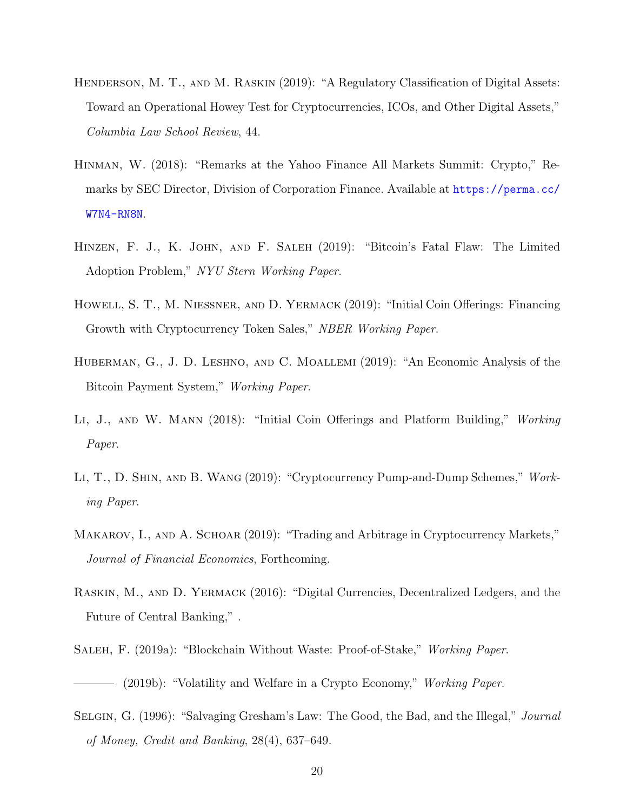- <span id="page-20-10"></span>HENDERSON, M. T., AND M. RASKIN (2019): "A Regulatory Classification of Digital Assets: Toward an Operational Howey Test for Cryptocurrencies, ICOs, and Other Digital Assets," Columbia Law School Review, 44.
- <span id="page-20-9"></span>Hinman, W. (2018): "Remarks at the Yahoo Finance All Markets Summit: Crypto," Remarks by SEC Director, Division of Corporation Finance. Available at [https://perma.cc/](https://perma.cc/W7N4-RN8N) [W7N4-RN8N](https://perma.cc/W7N4-RN8N).
- <span id="page-20-2"></span>Hinzen, F. J., K. John, and F. Saleh (2019): "Bitcoin's Fatal Flaw: The Limited Adoption Problem," NYU Stern Working Paper.
- <span id="page-20-4"></span>Howell, S. T., M. Niessner, and D. Yermack (2019): "Initial Coin Offerings: Financing Growth with Cryptocurrency Token Sales," NBER Working Paper.
- <span id="page-20-1"></span>Huberman, G., J. D. Leshno, and C. Moallemi (2019): "An Economic Analysis of the Bitcoin Payment System," Working Paper.
- <span id="page-20-5"></span>Li, J., and W. Mann (2018): "Initial Coin Offerings and Platform Building," Working Paper.
- <span id="page-20-6"></span>Li, T., D. Shin, and B. Wang (2019): "Cryptocurrency Pump-and-Dump Schemes," Working Paper.
- <span id="page-20-3"></span>MAKAROV, I., AND A. SCHOAR (2019): "Trading and Arbitrage in Cryptocurrency Markets," Journal of Financial Economics, Forthcoming.
- <span id="page-20-8"></span>Raskin, M., and D. Yermack (2016): "Digital Currencies, Decentralized Ledgers, and the Future of Central Banking," .
- <span id="page-20-7"></span><span id="page-20-0"></span>Saleh, F. (2019a): "Blockchain Without Waste: Proof-of-Stake," Working Paper. – (2019b): "Volatility and Welfare in a Crypto Economy," *Working Paper*.
- <span id="page-20-11"></span>SELGIN, G. (1996): "Salvaging Gresham's Law: The Good, the Bad, and the Illegal," *Journal* of Money, Credit and Banking, 28(4), 637–649.